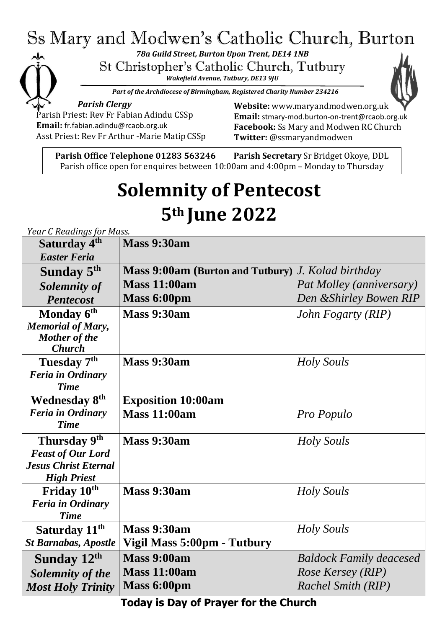# Ss Mary and Modwen's Catholic Church, Burton

*78a Guild Street, Burton Upon Trent, DE14 1NB*

St Christopher's Catholic Church, Tutbury

*Wakefield Avenue, Tutbury, DE13 9JU*



*Part of the Archdiocese of Birmingham, Registered Charity Number 234216*

*Parish Clergy*

Parish Priest: Rev Fr Fabian Adindu CSSp **Email:** [fr.fabian.adindu@rcaob.org.uk](mailto:fr.fabian.adindu@rcaob.org.uk) Asst Priest: Rev Fr Arthur -Marie Matip CSSp **Website:** [www.maryandmodwen.org.uk](http://www.maryandmodwen.org.uk/) **Email:** [stmary-mod.burton-on-trent@rcaob.org.uk](mailto:stmary-mod.burton-on-trent@rcaob.org.uk) **Facebook:** Ss Mary and Modwen RC Church **Twitter:** @ssmaryandmodwen

Parish office open for enquires between 10:00am and 4:00pm – Monday to Thursday **Parish Office Telephone 01283 563246 Parish Secretary** Sr Bridget Okoye, DDL

# **Solemnity of Pentecost 5th June 2022**

*Year C Readings for Mass.* 

| Saturday 4 <sup>th</sup>    | <b>Mass 9:30am</b>                                        |                                |
|-----------------------------|-----------------------------------------------------------|--------------------------------|
| <b>Easter Feria</b>         |                                                           |                                |
| Sunday 5 <sup>th</sup>      | <b>Mass 9:00am (Burton and Tutbury)</b> J. Kolad birthday |                                |
| Solemnity of                | <b>Mass 11:00am</b>                                       | Pat Molley (anniversary)       |
| <b>Pentecost</b>            | Mass 6:00pm                                               | Den & Shirley Bowen RIP        |
| Monday 6 <sup>th</sup>      | <b>Mass 9:30am</b>                                        | John Fogarty (RIP)             |
| <b>Memorial of Mary,</b>    |                                                           |                                |
| <b>Mother of the</b>        |                                                           |                                |
| <b>Church</b>               |                                                           |                                |
| Tuesday 7 <sup>th</sup>     | Mass 9:30am                                               | Holy Souls                     |
| <b>Feria in Ordinary</b>    |                                                           |                                |
| <b>Time</b>                 |                                                           |                                |
| <b>Wednesday 8th</b>        | <b>Exposition 10:00am</b>                                 |                                |
| <b>Feria in Ordinary</b>    | <b>Mass 11:00am</b>                                       | Pro Populo                     |
| <b>Time</b>                 |                                                           |                                |
| Thursday 9 <sup>th</sup>    | Mass 9:30am                                               | Holy Souls                     |
| <b>Feast of Our Lord</b>    |                                                           |                                |
| <b>Jesus Christ Eternal</b> |                                                           |                                |
| <b>High Priest</b>          |                                                           |                                |
| Friday 10 <sup>th</sup>     | Mass 9:30am                                               | <b>Holy Souls</b>              |
| <b>Feria in Ordinary</b>    |                                                           |                                |
| <b>Time</b>                 |                                                           |                                |
| Saturday 11 <sup>th</sup>   | Mass 9:30am                                               | <i>Holy Souls</i>              |
| <b>St Barnabas, Apostle</b> | Vigil Mass 5:00pm - Tutbury                               |                                |
| Sunday 12th                 | Mass 9:00am                                               | <b>Baldock Family deacesed</b> |
| Solemnity of the            | <b>Mass 11:00am</b>                                       | Rose Kersey (RIP)              |
| <b>Most Holy Trinity</b>    | Mass 6:00pm                                               | <b>Rachel Smith (RIP)</b>      |

**Today is Day of Prayer for the Church**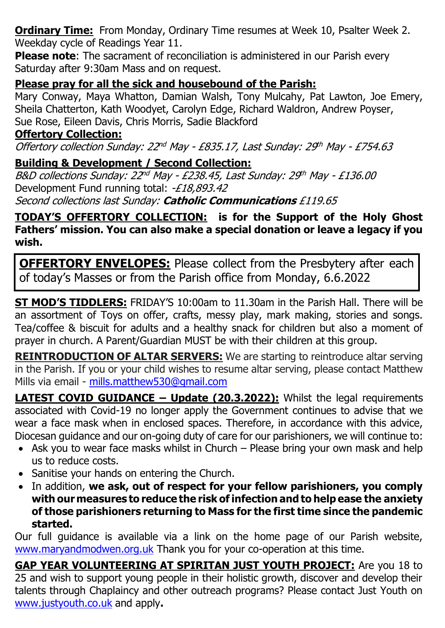**Ordinary Time:** From Monday, Ordinary Time resumes at Week 10, Psalter Week 2. Weekday cycle of Readings Year 11.

**Please note:** The sacrament of reconciliation is administered in our Parish every Saturday after 9:30am Mass and on request.

#### **Please pray for all the sick and housebound of the Parish:**

Mary Conway, Maya Whatton, Damian Walsh, Tony Mulcahy, Pat Lawton, Joe Emery, Sheila Chatterton, Kath Woodyet, Carolyn Edge, Richard Waldron, Andrew Poyser, Sue Rose, Eileen Davis, Chris Morris, Sadie Blackford

#### **Offertory Collection:**

Offertory collection Sunday: 22<sup>nd</sup> May - £835.17, Last Sunday: 29th May - £754.63

## **Building & Development / Second Collection:**

B&D collections Sunday: 22<sup>nd</sup> May - £238.45, Last Sunday: 29<sup>th</sup> May - £136.00 Development Fund running total: -£18,893.42 Second collections last Sunday: **Catholic Communications** £119.65

**TODAY'S OFFERTORY COLLECTION: is for the Support of the Holy Ghost Fathers' mission. You can also make a special donation or leave a legacy if you wish.**

**OFFERTORY ENVELOPES:** Please collect from the Presbytery after each of today's Masses or from the Parish office from Monday, 6.6.2022

**ST MOD'S TIDDLERS:** FRIDAY'S 10:00am to 11.30am in the Parish Hall. There will be an assortment of Toys on offer, crafts, messy play, mark making, stories and songs. Tea/coffee & biscuit for adults and a healthy snack for children but also a moment of prayer in church. A Parent/Guardian MUST be with their children at this group.

**REINTRODUCTION OF ALTAR SERVERS:** We are starting to reintroduce altar serving in the Parish. If you or your child wishes to resume altar serving, please contact Matthew Mills via email - [mills.matthew530@gmail.com](mailto:mills.matthew530@gmail.com)

**LATEST COVID GUIDANCE – Update (20.3.2022):** Whilst the legal requirements associated with Covid-19 no longer apply the Government continues to advise that we wear a face mask when in enclosed spaces. Therefore, in accordance with this advice, Diocesan guidance and our on-going duty of care for our parishioners, we will continue to:

- Ask you to wear face masks whilst in Church Please bring your own mask and help us to reduce costs.
- Sanitise your hands on entering the Church.
- In addition, **we ask, out of respect for your fellow parishioners, you comply with ourmeasures to reduce the risk ofinfection and to help ease the anxiety of those parishioners returning to Mass for the first time since the pandemic started.**

Our full guidance is available via a link on the home page of our Parish website, [www.maryandmodwen.org.uk](http://www.maryandmodwen.org.uk/) Thank you for your co-operation at this time.

**GAP YEAR VOLUNTEERING AT SPIRITAN JUST YOUTH PROJECT:** Are you 18 to 25 and wish to support young people in their holistic growth, discover and develop their talents through Chaplaincy and other outreach programs? Please contact Just Youth on [www.justyouth.co.uk](file:///C:/Users/Rosemary/Downloads/www.justyouth.co.uk) and apply**.**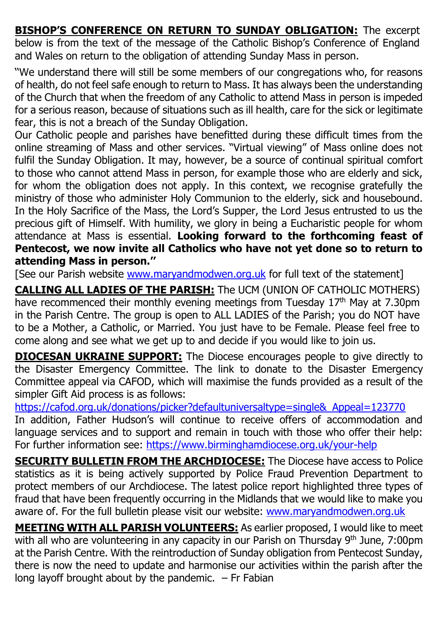**BISHOP'S CONFERENCE ON RETURN TO SUNDAY OBLIGATION:** The excerpt below is from the text of the message of the Catholic Bishop's Conference of England and Wales on return to the obligation of attending Sunday Mass in person.

''We understand there will still be some members of our congregations who, for reasons of health, do not feel safe enough to return to Mass. It has always been the understanding of the Church that when the freedom of any Catholic to attend Mass in person is impeded for a serious reason, because of situations such as ill health, care for the sick or legitimate fear, this is not a breach of the Sunday Obligation.

Our Catholic people and parishes have benefitted during these difficult times from the online streaming of Mass and other services. "Virtual viewing" of Mass online does not fulfil the Sunday Obligation. It may, however, be a source of continual spiritual comfort to those who cannot attend Mass in person, for example those who are elderly and sick, for whom the obligation does not apply. In this context, we recognise gratefully the ministry of those who administer Holy Communion to the elderly, sick and housebound. In the Holy Sacrifice of the Mass, the Lord's Supper, the Lord Jesus entrusted to us the precious gift of Himself. With humility, we glory in being a Eucharistic people for whom attendance at Mass is essential. **Looking forward to the forthcoming feast of Pentecost, we now invite all Catholics who have not yet done so to return to attending Mass in person.''** 

[See our Parish website [www.maryandmodwen.org.uk](http://www.maryandmodwen.org.uk/) for full text of the statement]

**CALLING ALL LADIES OF THE PARISH:** The UCM (UNION OF CATHOLIC MOTHERS) have recommenced their monthly evening meetings from Tuesday  $17<sup>th</sup>$  May at 7.30pm in the Parish Centre. The group is open to ALL LADIES of the Parish; you do NOT have to be a Mother, a Catholic, or Married. You just have to be Female. Please feel free to come along and see what we get up to and decide if you would like to join us.

**DIOCESAN UKRAINE SUPPORT:** The Diocese encourages people to give directly to the Disaster Emergency Committee. The link to donate to the Disaster Emergency Committee appeal via CAFOD, which will maximise the funds provided as a result of the simpler Gift Aid process is as follows:

[https://cafod.org.uk/donations/picker?defaultuniversaltype=single&\\_Appeal=123770](https://cafod.org.uk/donations/picker?defaultuniversaltype=single&_Appeal=123770) In addition, Father Hudson's will continue to receive offers of accommodation and language services and to support and remain in touch with those who offer their help: For further information see:<https://www.birminghamdiocese.org.uk/your-help>

**SECURITY BULLETIN FROM THE ARCHDIOCESE:** The Diocese have access to Police statistics as it is being actively supported by Police Fraud Prevention Department to protect members of our Archdiocese. The latest police report highlighted three types of fraud that have been frequently occurring in the Midlands that we would like to make you aware of. For the full bulletin please visit our website: [www.maryandmodwen.org.uk](http://www.maryandmodwen.org.uk/)

**MEETING WITH ALL PARISH VOLUNTEERS:** As earlier proposed, I would like to meet with all who are volunteering in any capacity in our Parish on Thursday 9<sup>th</sup> June, 7:00pm at the Parish Centre. With the reintroduction of Sunday obligation from Pentecost Sunday, there is now the need to update and harmonise our activities within the parish after the long layoff brought about by the pandemic.  $-$  Fr Fabian